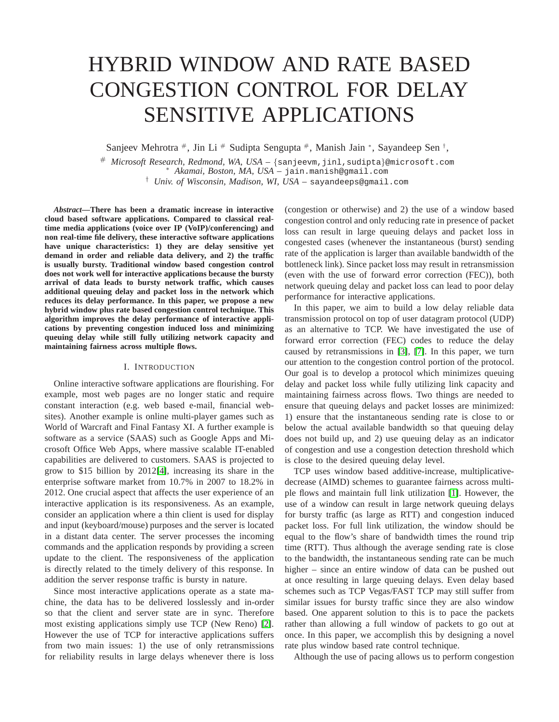# HYBRID WINDOW AND RATE BASED CONGESTION CONTROL FOR DELAY SENSITIVE APPLICATIONS

Sanjeev Mehrotra <sup>#</sup>, Jin Li <sup>#</sup> Sudipta Sengupta <sup>#</sup>, Manish Jain \*, Sayandeep Sen <sup>†</sup>,

# *Microsoft Research, Redmond, WA, USA –* {sanjeevm,jinl,sudipta}@microsoft.com <sup>∗</sup> *Akamai, Boston, MA, USA –* jain.manish@gmail.com † *Univ. of Wisconsin, Madison, WI, USA –* sayandeeps@gmail.com

*Abstract***—There has been a dramatic increase in interactive cloud based software applications. Compared to classical realtime media applications (voice over IP (VoIP)/conferencing) and non real-time file delivery, these interactive software applications have unique characteristics: 1) they are delay sensitive yet demand in order and reliable data delivery, and 2) the traffic is usually bursty. Traditional window based congestion control does not work well for interactive applications because the bursty arrival of data leads to bursty network traffic, which causes additional queuing delay and packet loss in the network which reduces its delay performance. In this paper, we propose a new hybrid window plus rate based congestion control technique. This algorithm improves the delay performance of interactive applications by preventing congestion induced loss and minimizing queuing delay while still fully utilizing network capacity and maintaining fairness across multiple flows.**

# I. INTRODUCTION

<span id="page-0-0"></span>Online interactive software applications are flourishing. For example, most web pages are no longer static and require constant interaction (e.g. web based e-mail, financial websites). Another example is online multi-player games such as World of Warcraft and Final Fantasy XI. A further example is software as a service (SAAS) such as Google Apps and Microsoft Office Web Apps, where massive scalable IT-enabled capabilities are delivered to customers. SAAS is projected to grow to \$15 billion by 2012[\[4\]](#page-4-0), increasing its share in the enterprise software market from 10.7% in 2007 to 18.2% in 2012. One crucial aspect that affects the user experience of an interactive application is its responsiveness. As an example, consider an application where a thin client is used for display and input (keyboard/mouse) purposes and the server is located in a distant data center. The server processes the incoming commands and the application responds by providing a screen update to the client. The responsiveness of the application is directly related to the timely delivery of this response. In addition the server response traffic is bursty in nature.

Since most interactive applications operate as a state machine, the data has to be delivered losslessly and in-order so that the client and server state are in sync. Therefore most existing applications simply use TCP (New Reno) [\[2\]](#page-4-1). However the use of TCP for interactive applications suffers from two main issues: 1) the use of only retransmissions for reliability results in large delays whenever there is loss

(congestion or otherwise) and 2) the use of a window based congestion control and only reducing rate in presence of packet loss can result in large queuing delays and packet loss in congested cases (whenever the instantaneous (burst) sending rate of the application is larger than available bandwidth of the bottleneck link). Since packet loss may result in retransmission (even with the use of forward error correction (FEC)), both network queuing delay and packet loss can lead to poor delay performance for interactive applications.

In this paper, we aim to build a low delay reliable data transmission protocol on top of user datagram protocol (UDP) as an alternative to TCP. We have investigated the use of forward error correction (FEC) codes to reduce the delay caused by retransmissions in [\[3\]](#page-4-2), [\[7\]](#page-4-3). In this paper, we turn our attention to the congestion control portion of the protocol. Our goal is to develop a protocol which minimizes queuing delay and packet loss while fully utilizing link capacity and maintaining fairness across flows. Two things are needed to ensure that queuing delays and packet losses are minimized: 1) ensure that the instantaneous sending rate is close to or below the actual available bandwidth so that queuing delay does not build up, and 2) use queuing delay as an indicator of congestion and use a congestion detection threshold which is close to the desired queuing delay level.

TCP uses window based additive-increase, multiplicativedecrease (AIMD) schemes to guarantee fairness across multiple flows and maintain full link utilization [\[1\]](#page-4-4). However, the use of a window can result in large network queuing delays for bursty traffic (as large as RTT) and congestion induced packet loss. For full link utilization, the window should be equal to the flow's share of bandwidth times the round trip time (RTT). Thus although the average sending rate is close to the bandwidth, the instantaneous sending rate can be much higher – since an entire window of data can be pushed out at once resulting in large queuing delays. Even delay based schemes such as TCP Vegas/FAST TCP may still suffer from similar issues for bursty traffic since they are also window based. One apparent solution to this is to pace the packets rather than allowing a full window of packets to go out at once. In this paper, we accomplish this by designing a novel rate plus window based rate control technique.

Although the use of pacing allows us to perform congestion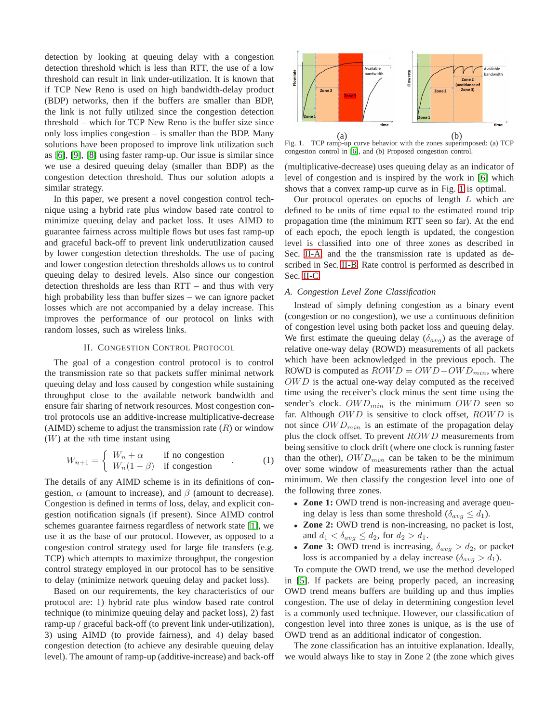detection by looking at queuing delay with a congestion detection threshold which is less than RTT, the use of a low threshold can result in link under-utilization. It is known that if TCP New Reno is used on high bandwidth-delay product (BDP) networks, then if the buffers are smaller than BDP, the link is not fully utilized since the congestion detection threshold – which for TCP New Reno is the buffer size since only loss implies congestion – is smaller than the BDP. Many solutions have been proposed to improve link utilization such as [\[6\]](#page-4-5), [\[9\]](#page-4-6), [\[8\]](#page-4-7) using faster ramp-up. Our issue is similar since we use a desired queuing delay (smaller than BDP) as the congestion detection threshold. Thus our solution adopts a similar strategy.

In this paper, we present a novel congestion control technique using a hybrid rate plus window based rate control to minimize queuing delay and packet loss. It uses AIMD to guarantee fairness across multiple flows but uses fast ramp-up and graceful back-off to prevent link underutilization caused by lower congestion detection thresholds. The use of pacing and lower congestion detection thresholds allows us to control queuing delay to desired levels. Also since our congestion detection thresholds are less than RTT – and thus with very high probability less than buffer sizes – we can ignore packet losses which are not accompanied by a delay increase. This improves the performance of our protocol on links with random losses, such as wireless links.

## II. CONGESTION CONTROL PROTOCOL

The goal of a congestion control protocol is to control the transmission rate so that packets suffer minimal network queuing delay and loss caused by congestion while sustaining throughput close to the available network bandwidth and ensure fair sharing of network resources. Most congestion control protocols use an additive-increase multiplicative-decrease (AIMD) scheme to adjust the transmission rate  $(R)$  or window  $(W)$  at the *n*th time instant using

$$
W_{n+1} = \begin{cases} W_n + \alpha & \text{if no congestion} \\ W_n(1 - \beta) & \text{if congestion} \end{cases}
$$
 (1)

The details of any AIMD scheme is in its definitions of congestion,  $\alpha$  (amount to increase), and  $\beta$  (amount to decrease). Congestion is defined in terms of loss, delay, and explicit congestion notification signals (if present). Since AIMD control schemes guarantee fairness regardless of network state [\[1\]](#page-4-4), we use it as the base of our protocol. However, as opposed to a congestion control strategy used for large file transfers (e.g. TCP) which attempts to maximize throughput, the congestion control strategy employed in our protocol has to be sensitive to delay (minimize network queuing delay and packet loss).

Based on our requirements, the key characteristics of our protocol are: 1) hybrid rate plus window based rate control technique (to minimize queuing delay and packet loss), 2) fast ramp-up / graceful back-off (to prevent link under-utilization), 3) using AIMD (to provide fairness), and 4) delay based congestion detection (to achieve any desirable queuing delay level). The amount of ramp-up (additive-increase) and back-off



<span id="page-1-0"></span>(a) (b) Fig. 1. TCP ramp-up curve behavior with the zones superimposed: (a) TCP congestion control in [\[6\]](#page-4-5), and (b) Proposed congestion control.

(multiplicative-decrease) uses queuing delay as an indicator of level of congestion and is inspired by the work in [\[6\]](#page-4-5) which shows that a convex ramp-up curve as in Fig. [1](#page-1-0) is optimal.

Our protocol operates on epochs of length  $L$  which are defined to be units of time equal to the estimated round trip propagation time (the minimum RTT seen so far). At the end of each epoch, the epoch length is updated, the congestion level is classified into one of three zones as described in Sec. [II-A,](#page-1-1) and the the transmission rate is updated as described in Sec. [II-B.](#page-2-0) Rate control is performed as described in Sec. [II-C.](#page-2-1)

# <span id="page-1-1"></span>*A. Congestion Level Zone Classification*

Instead of simply defining congestion as a binary event (congestion or no congestion), we use a continuous definition of congestion level using both packet loss and queuing delay. We first estimate the queuing delay ( $\delta_{avg}$ ) as the average of relative one-way delay (ROWD) measurements of all packets which have been acknowledged in the previous epoch. The ROWD is computed as  $ROWD = OWD - OWD_{min}$ , where  $OWD$  is the actual one-way delay computed as the received time using the receiver's clock minus the sent time using the sender's clock.  $OWD_{min}$  is the minimum  $OWD$  seen so far. Although  $OWD$  is sensitive to clock offset,  $ROWD$  is not since  $OWD_{min}$  is an estimate of the propagation delay plus the clock offset. To prevent ROWD measurements from being sensitive to clock drift (where one clock is running faster than the other),  $OWD_{min}$  can be taken to be the minimum over some window of measurements rather than the actual minimum. We then classify the congestion level into one of the following three zones.

- **Zone 1:** OWD trend is non-increasing and average queuing delay is less than some threshold  $(\delta_{avg} \leq d_1)$ .
- **Zone 2:** OWD trend is non-increasing, no packet is lost, and  $d_1 < \delta_{avg} \leq d_2$ , for  $d_2 > d_1$ .
- **Zone 3:** OWD trend is increasing,  $\delta_{avg} > d_2$ , or packet loss is accompanied by a delay increase  $(\delta_{avg} > d_1)$ .

To compute the OWD trend, we use the method developed in [\[5\]](#page-4-8). If packets are being properly paced, an increasing OWD trend means buffers are building up and thus implies congestion. The use of delay in determining congestion level is a commonly used technique. However, our classification of congestion level into three zones is unique, as is the use of OWD trend as an additional indicator of congestion.

The zone classification has an intuitive explanation. Ideally, we would always like to stay in Zone 2 (the zone which gives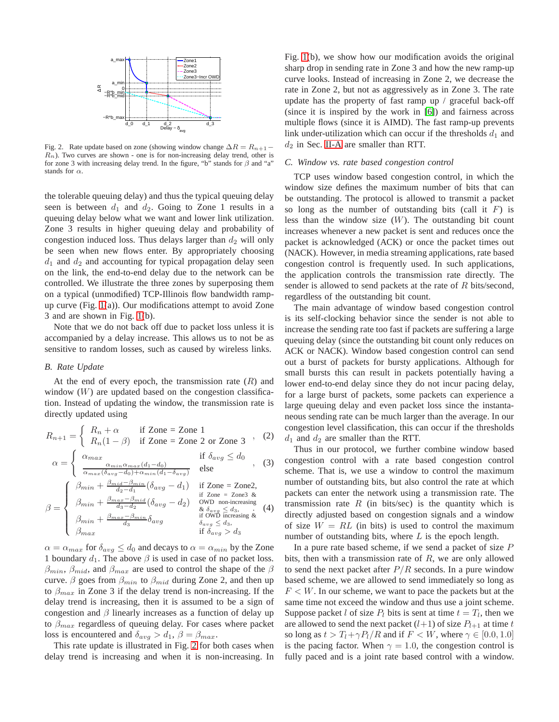

<span id="page-2-2"></span>Fig. 2. Rate update based on zone (showing window change  $\Delta R = R_{n+1}$  –  $R_n$ ). Two curves are shown - one is for non-increasing delay trend, other is for zone 3 with increasing delay trend. In the figure, "b" stands for  $\beta$  and "a" stands for  $\alpha$ .

the tolerable queuing delay) and thus the typical queuing delay seen is between  $d_1$  and  $d_2$ . Going to Zone 1 results in a queuing delay below what we want and lower link utilization. Zone 3 results in higher queuing delay and probability of congestion induced loss. Thus delays larger than  $d_2$  will only be seen when new flows enter. By appropriately choosing  $d_1$  and  $d_2$  and accounting for typical propagation delay seen on the link, the end-to-end delay due to the network can be controlled. We illustrate the three zones by superposing them on a typical (unmodified) TCP-Illinois flow bandwidth rampup curve (Fig. [1\(](#page-1-0)a)). Our modifications attempt to avoid Zone 3 and are shown in Fig. [1\(](#page-1-0)b).

Note that we do not back off due to packet loss unless it is accompanied by a delay increase. This allows us to not be as sensitive to random losses, such as caused by wireless links.

## <span id="page-2-0"></span>*B. Rate Update*

At the end of every epoch, the transmission rate  $(R)$  and window  $(W)$  are updated based on the congestion classification. Instead of updating the window, the transmission rate is directly updated using

$$
R_{n+1} = \begin{cases} R_n + \alpha & \text{if} \text{ Zone} = \text{Zone} \ 1\\ R_n(1 - \beta) & \text{if} \text{ Zone} = \text{Zone} \ 2 \text{ or } \text{Zone} \ 3 \end{cases}, \quad (2)
$$

$$
\alpha = \begin{cases} \alpha_{max} & \text{if } \delta_{avg} \le d_0 \\ \frac{\alpha_{min} \alpha_{max}(d_1 - d_0)}{\alpha_{max}(\delta_{avg} - d_0) + \alpha_{min}(d_1 - \delta_{avg})} & \text{else} \end{cases} , (3)
$$

$$
\beta = \begin{cases}\n\beta_{min} + \frac{\beta_{mid} - \beta_{min}}{d_2 - d_1} (\delta_{avg} - d_1) & \text{if} \text{ Zone = Zone2,} \\
\beta_{min} + \frac{\beta_{max} - \beta_{mid}}{d_3 - d_2} (\delta_{avg} - d_2) & \text{OWD non-increasing} \\
\beta_{min} + \frac{\beta_{max} - \beta_{min}}{d_3} \delta_{avg} & \text{if} \text{OWD increasing} \\
\beta_{max} & \text{if} \text{OWD increasing} \delta_{avg} \le d_3, \\
\beta_{max} & \text{if} \delta_{avg} > d_3\n\end{cases}
$$
\n(4)

 $\alpha = \alpha_{max}$  for  $\delta_{avg} \le d_0$  and decays to  $\alpha = \alpha_{min}$  by the Zone 1 boundary  $d_1$ . The above  $\beta$  is used in case of no packet loss.  $\beta_{min}$ ,  $\beta_{mid}$ , and  $\beta_{max}$  are used to control the shape of the  $\beta$ curve.  $\beta$  goes from  $\beta_{min}$  to  $\beta_{mid}$  during Zone 2, and then up to  $\beta_{max}$  in Zone 3 if the delay trend is non-increasing. If the delay trend is increasing, then it is assumed to be a sign of congestion and  $\beta$  linearly increases as a function of delay up to  $\beta_{max}$  regardless of queuing delay. For cases where packet loss is encountered and  $\delta_{avg} > d_1$ ,  $\beta = \beta_{max}$ .

This rate update is illustrated in Fig. [2](#page-2-2) for both cases when delay trend is increasing and when it is non-increasing. In Fig. [1\(](#page-1-0)b), we show how our modification avoids the original sharp drop in sending rate in Zone 3 and how the new ramp-up curve looks. Instead of increasing in Zone 2, we decrease the rate in Zone 2, but not as aggressively as in Zone 3. The rate update has the property of fast ramp up / graceful back-off (since it is inspired by the work in [\[6\]](#page-4-5)) and fairness across multiple flows (since it is AIMD). The fast ramp-up prevents link under-utilization which can occur if the thresholds  $d_1$  and  $d_2$  in Sec. [II-A](#page-1-1) are smaller than RTT.

## <span id="page-2-1"></span>*C. Window vs. rate based congestion control*

TCP uses window based congestion control, in which the window size defines the maximum number of bits that can be outstanding. The protocol is allowed to transmit a packet so long as the number of outstanding bits (call it  $F$ ) is less than the window size  $(W)$ . The outstanding bit count increases whenever a new packet is sent and reduces once the packet is acknowledged (ACK) or once the packet times out (NACK). However, in media streaming applications, rate based congestion control is frequently used. In such applications, the application controls the transmission rate directly. The sender is allowed to send packets at the rate of R bits/second, regardless of the outstanding bit count.

The main advantage of window based congestion control is its self-clocking behavior since the sender is not able to increase the sending rate too fast if packets are suffering a large queuing delay (since the outstanding bit count only reduces on ACK or NACK). Window based congestion control can send out a burst of packets for bursty applications. Although for small bursts this can result in packets potentially having a lower end-to-end delay since they do not incur pacing delay, for a large burst of packets, some packets can experience a large queuing delay and even packet loss since the instantaneous sending rate can be much larger than the average. In our congestion level classification, this can occur if the thresholds  $d_1$  and  $d_2$  are smaller than the RTT.

Thus in our protocol, we further combine window based congestion control with a rate based congestion control scheme. That is, we use a window to control the maximum number of outstanding bits, but also control the rate at which packets can enter the network using a transmission rate. The transmission rate  $R$  (in bits/sec) is the quantity which is directly adjusted based on congestion signals and a window of size  $W = RL$  (in bits) is used to control the maximum number of outstanding bits, where  $L$  is the epoch length.

In a pure rate based scheme, if we send a packet of size  $P$ bits, then with a transmission rate of  $R$ , we are only allowed to send the next packet after  $P/R$  seconds. In a pure window based scheme, we are allowed to send immediately so long as  $F \lt W$ . In our scheme, we want to pace the packets but at the same time not exceed the window and thus use a joint scheme. Suppose packet *l* of size  $P_l$  bits is sent at time  $t = T_l$ , then we are allowed to send the next packet  $(l+1)$  of size  $P_{l+1}$  at time t so long as  $t > T_l + \gamma P_l/R$  and if  $F < W$ , where  $\gamma \in [0.0, 1.0]$ is the pacing factor. When  $\gamma = 1.0$ , the congestion control is fully paced and is a joint rate based control with a window.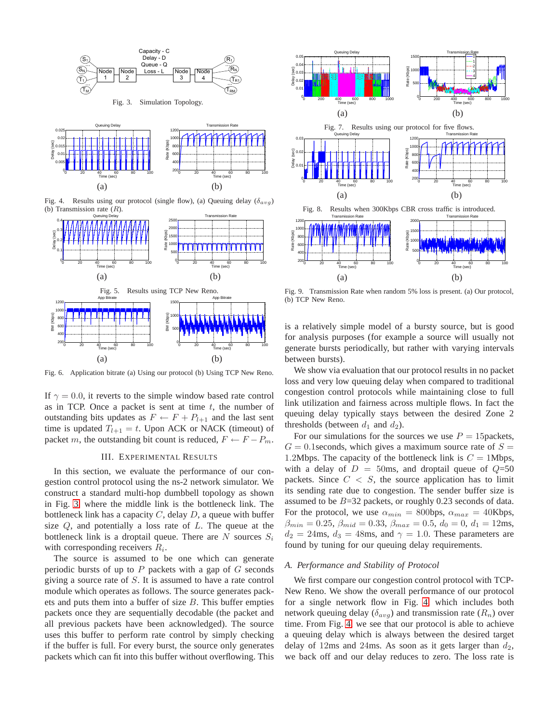<span id="page-3-0"></span>



Fig. 4. Results using our protocol (single flow), (a) Queuing delay ( $\delta_{avg}$ ) (b) Transmission rate  $(R)$ .

<span id="page-3-1"></span>

<span id="page-3-3"></span><span id="page-3-2"></span>Fig. 6. Application bitrate (a) Using our protocol (b) Using TCP New Reno.

If  $\gamma = 0.0$ , it reverts to the simple window based rate control as in TCP. Once a packet is sent at time  $t$ , the number of outstanding bits updates as  $F \leftarrow F + P_{l+1}$  and the last sent time is updated  $T_{l+1} = t$ . Upon ACK or NACK (timeout) of packet m, the outstanding bit count is reduced,  $F \leftarrow F - P_m$ .

# III. EXPERIMENTAL RESULTS

In this section, we evaluate the performance of our congestion control protocol using the ns-2 network simulator. We construct a standard multi-hop dumbbell topology as shown in Fig. [3,](#page-3-0) where the middle link is the bottleneck link. The bottleneck link has a capacity  $C$ , delay  $D$ , a queue with buffer size  $Q$ , and potentially a loss rate of  $L$ . The queue at the bottleneck link is a droptail queue. There are  $N$  sources  $S_i$ with corresponding receivers  $R_i$ .

The source is assumed to be one which can generate periodic bursts of up to  $P$  packets with a gap of  $G$  seconds giving a source rate of S. It is assumed to have a rate control module which operates as follows. The source generates packets and puts them into a buffer of size  $B$ . This buffer empties packets once they are sequentially decodable (the packet and all previous packets have been acknowledged). The source uses this buffer to perform rate control by simply checking if the buffer is full. For every burst, the source only generates packets which can fit into this buffer without overflowing. This

<span id="page-3-4"></span>

<span id="page-3-6"></span><span id="page-3-5"></span>Fig. 9. Transmission Rate when random 5% loss is present. (a) Our protocol, (b) TCP New Reno.

is a relatively simple model of a bursty source, but is good for analysis purposes (for example a source will usually not generate bursts periodically, but rather with varying intervals between bursts).

We show via evaluation that our protocol results in no packet loss and very low queuing delay when compared to traditional congestion control protocols while maintaining close to full link utilization and fairness across multiple flows. In fact the queuing delay typically stays between the desired Zone 2 thresholds (between  $d_1$  and  $d_2$ ).

For our simulations for the sources we use  $P = 15$  packets,  $G = 0.1$  seconds, which gives a maximum source rate of  $S =$ 1.2Mbps. The capacity of the bottleneck link is  $C = 1$ Mbps, with a delay of  $D = 50$ ms, and droptail queue of  $Q=50$ packets. Since  $C < S$ , the source application has to limit its sending rate due to congestion. The sender buffer size is assumed to be  $B=32$  packets, or roughly 0.23 seconds of data. For the protocol, we use  $\alpha_{min} = 800$ bps,  $\alpha_{max} = 40$ Kbps,  $\beta_{min} = 0.25$ ,  $\beta_{mid} = 0.33$ ,  $\beta_{max} = 0.5$ ,  $d_0 = 0$ ,  $d_1 = 12$ ms,  $d_2 = 24$ ms,  $d_3 = 48$ ms, and  $\gamma = 1.0$ . These parameters are found by tuning for our queuing delay requirements.

## *A. Performance and Stability of Protocol*

We first compare our congestion control protocol with TCP-New Reno. We show the overall performance of our protocol for a single network flow in Fig. [4,](#page-3-1) which includes both network queuing delay ( $\delta_{avg}$ ) and transmission rate ( $R_n$ ) over time. From Fig. [4,](#page-3-1) we see that our protocol is able to achieve a queuing delay which is always between the desired target delay of 12ms and 24ms. As soon as it gets larger than  $d_2$ , we back off and our delay reduces to zero. The loss rate is